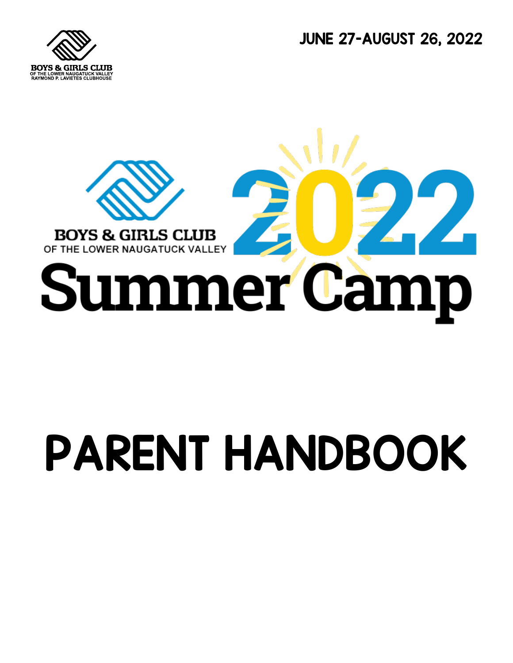JUNE 27-AUGUST 26, 2022





# PARENT HANDBOOK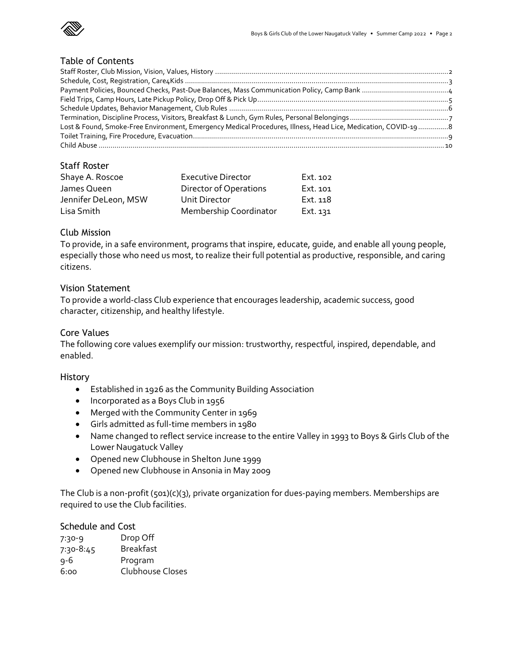

#### Table of Contents

| Lost & Found, Smoke-Free Environment, Emergency Medical Procedures, Illness, Head Lice, Medication, COVID-198 |  |
|---------------------------------------------------------------------------------------------------------------|--|
|                                                                                                               |  |
|                                                                                                               |  |

# Staff Roster

| Shaye A. Roscoe      | <b>Executive Director</b> | Ext. 102 |
|----------------------|---------------------------|----------|
| James Queen          | Director of Operations    | Ext. 101 |
| Jennifer DeLeon, MSW | Unit Director             | Ext. 118 |
| Lisa Smith           | Membership Coordinator    | Ext. 131 |

# Club Mission

To provide, in a safe environment, programs that inspire, educate, guide, and enable all young people, especially those who need us most, to realize their full potential as productive, responsible, and caring citizens.

#### Vision Statement

To provide a world-class Club experience that encourages leadership, academic success, good character, citizenship, and healthy lifestyle.

#### Core Values

The following core values exemplify our mission: trustworthy, respectful, inspired, dependable, and enabled.

#### History

- Established in 1926 as the Community Building Association
- Incorporated as a Boys Club in 1956
- Merged with the Community Center in 1969
- Girls admitted as full-time members in 1980
- Name changed to reflect service increase to the entire Valley in 1993 to Boys & Girls Club of the Lower Naugatuck Valley
- Opened new Clubhouse in Shelton June 1999
- Opened new Clubhouse in Ansonia in May 2009

The Club is a non-profit (501)(c)(3), private organization for dues-paying members. Memberships are required to use the Club facilities.

# Schedule and Cost

| Drop Off         |
|------------------|
| <b>Breakfast</b> |
| Program          |
| Clubhouse Closes |
|                  |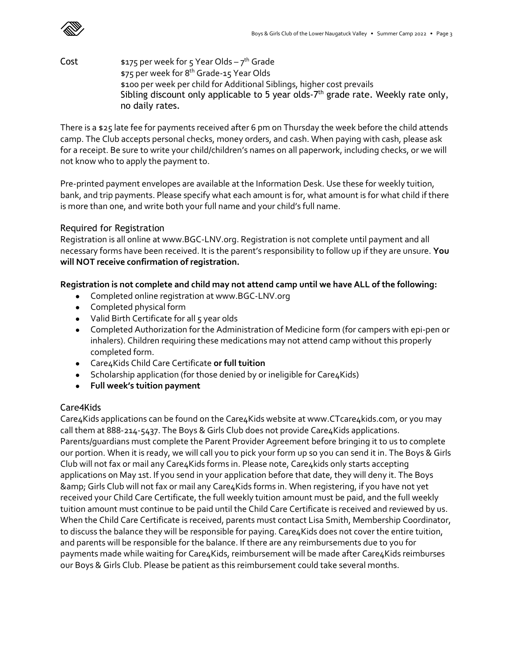

 $\mathsf{Cost} \qquad \qquad \mathsf{\$175\,per\,week}$  for 5 Year Olds – 7<sup>th</sup> Grade \$75 per week for 8 th Grade-15 Year Olds \$100 per week per child for Additional Siblings, higher cost prevails Sibling discount only applicable to 5 year olds- $7<sup>th</sup>$  grade rate. Weekly rate only, no daily rates.

There is a \$25 late fee for payments received after 6 pm on Thursday the week before the child attends camp. The Club accepts personal checks, money orders, and cash. When paying with cash, please ask for a receipt. Be sure to write your child/children's names on all paperwork, including checks, or we will not know who to apply the payment to.

Pre-printed payment envelopes are available at the Information Desk. Use these for weekly tuition, bank, and trip payments. Please specify what each amount is for, what amount is for what child if there is more than one, and write both your full name and your child's full name.

# Required for Registration

Registration is all online at www.BGC-LNV.org. Registration is not complete until payment and all necessary forms have been received. It is the parent's responsibility to follow up if they are unsure. **You will NOT receive confirmation of registration.**

# **Registration is not complete and child may not attend camp until we have ALL of the following:**

- Completed online registration at www.BGC-LNV.org
- Completed physical form
- $\bullet$  Valid Birth Certificate for all 5 year olds
- Completed Authorization for the Administration of Medicine form (for campers with epi-pen or inhalers). Children requiring these medications may not attend camp without this properly completed form.
- Care4Kids Child Care Certificate **or full tuition**
- Scholarship application (for those denied by or ineligible for Care4Kids)
- **Full week's tuition payment**

# Care4Kids

Care4Kids applications can be found on the Care4Kids website at www.CTcare4kids.com, or you may call them at 888-214-5437. The Boys & Girls Club does not provide Care4Kids applications. Parents/guardians must complete the Parent Provider Agreement before bringing it to us to complete our portion. When it is ready, we will call you to pick your form up so you can send it in. The Boys & Girls Club will not fax or mail any Care4Kids forms in. Please note, Care4kids only starts accepting applications on May 1st. If you send in your application before that date, they will deny it. The Boys & Girls Club will not fax or mail any Care4Kids forms in. When registering, if you have not yet received your Child Care Certificate, the full weekly tuition amount must be paid, and the full weekly tuition amount must continue to be paid until the Child Care Certificate is received and reviewed by us. When the Child Care Certificate is received, parents must contact Lisa Smith, Membership Coordinator, to discuss the balance they will be responsible for paying. Care4Kids does not cover the entire tuition, and parents will be responsible for the balance. If there are any reimbursements due to you for payments made while waiting for Care4Kids, reimbursement will be made after Care4Kids reimburses our Boys & Girls Club. Please be patient as this reimbursement could take several months.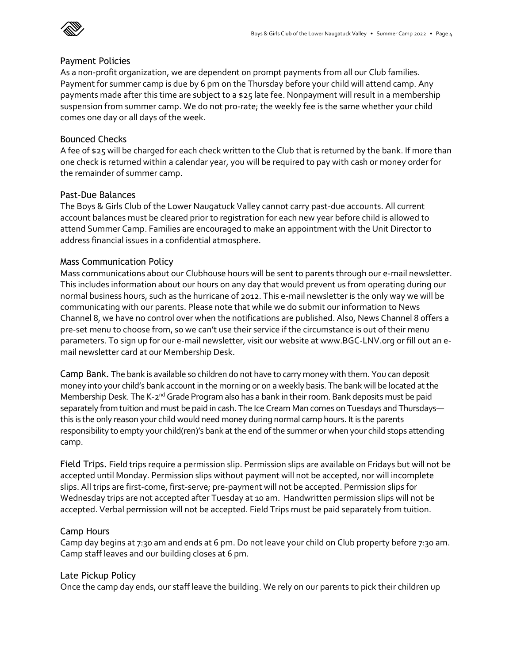

#### Payment Policies

As a non-profit organization, we are dependent on prompt payments from all our Club families. Payment for summer camp is due by 6 pm on the Thursday before your child will attend camp. Any payments made after this time are subject to a \$25 late fee. Nonpayment will result in a membership suspension from summer camp. We do not pro-rate; the weekly fee is the same whether your child comes one day or all days of the week.

### Bounced Checks

A fee of \$25 will be charged for each check written to the Club that is returned by the bank. If more than one check is returned within a calendar year, you will be required to pay with cash or money order for the remainder of summer camp.

### Past-Due Balances

The Boys & Girls Club of the Lower Naugatuck Valley cannot carry past-due accounts. All current account balances must be cleared prior to registration for each new year before child is allowed to attend Summer Camp. Families are encouraged to make an appointment with the Unit Director to address financial issues in a confidential atmosphere.

### Mass Communication Policy

Mass communications about our Clubhouse hours will be sent to parents through our e-mail newsletter. This includes information about our hours on any day that would prevent us from operating during our normal business hours, such as the hurricane of 2012. This e-mail newsletter is the only way we will be communicating with our parents. Please note that while we do submit our information to News Channel 8, we have no control over when the notifications are published. Also, News Channel 8 offers a pre-set menu to choose from, so we can't use their service if the circumstance is out of their menu parameters. To sign up for our e-mail newsletter, visit our website at www.BGC-LNV.org or fill out an email newsletter card at our Membership Desk.

Camp Bank. The bank is available so children do not have to carry money with them. You can deposit money into your child's bank account in the morning or on a weekly basis. The bank will be located at the Membership Desk. The K-2<sup>nd</sup> Grade Program also has a bank in their room. Bank deposits must be paid separately from tuition and must be paid in cash. The Ice Cream Man comes on Tuesdays and Thursdays this is the only reason your child would need money during normal camp hours. It is the parents responsibility to empty your child(ren)'s bank at the end of the summer or when your child stops attending camp.

Field Trips. Field trips require a permission slip. Permission slips are available on Fridays but will not be accepted until Monday. Permission slips without payment will not be accepted, nor will incomplete slips. All trips are first-come, first-serve; pre-payment will not be accepted. Permission slips for Wednesday trips are not accepted after Tuesday at 10 am. Handwritten permission slips will not be accepted. Verbal permission will not be accepted. Field Trips must be paid separately from tuition.

#### Camp Hours

Camp day begins at 7:30 am and ends at 6 pm. Do not leave your child on Club property before 7:30 am. Camp staff leaves and our building closes at 6 pm.

#### Late Pickup Policy

Once the camp day ends, our staff leave the building. We rely on our parents to pick their children up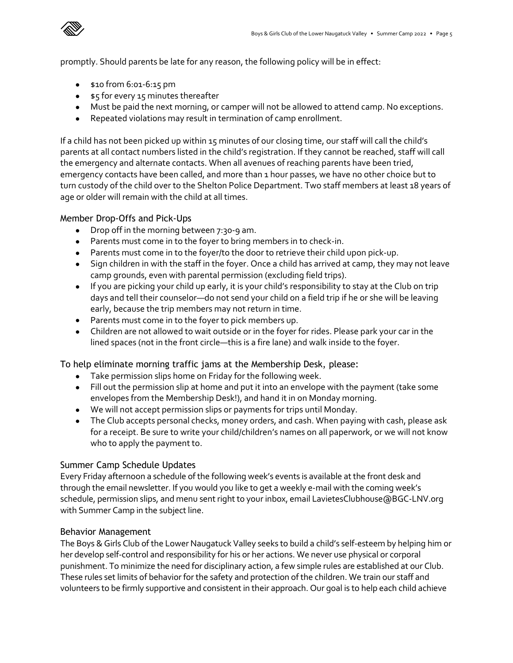promptly. Should parents be late for any reason, the following policy will be in effect:

- \$10 from 6:01-6:15 pm
- \$5 for every 15 minutes thereafter
- Must be paid the next morning, or camper will not be allowed to attend camp. No exceptions.
- Repeated violations may result in termination of camp enrollment.

If a child has not been picked up within 15 minutes of our closing time, our staff will call the child's parents at all contact numbers listed in the child's registration. If they cannot be reached, staff will call the emergency and alternate contacts. When all avenues of reaching parents have been tried, emergency contacts have been called, and more than 1 hour passes, we have no other choice but to turn custody of the child over to the Shelton Police Department. Two staff members at least 18 years of age or older will remain with the child at all times.

### Member Drop-Offs and Pick-Ups

- Drop off in the morning between 7:30-9 am.
- Parents must come in to the foyer to bring members in to check-in.
- Parents must come in to the foyer/to the door to retrieve their child upon pick-up.
- Sign children in with the staff in the foyer. Once a child has arrived at camp, they may not leave camp grounds, even with parental permission (excluding field trips).
- If you are picking your child up early, it is your child's responsibility to stay at the Club on trip days and tell their counselor—do not send your child on a field trip if he or she will be leaving early, because the trip members may not return in time.
- Parents must come in to the foyer to pick members up.
- Children are not allowed to wait outside or in the foyer for rides. Please park your car in the lined spaces (not in the front circle—this is a fire lane) and walk inside to the foyer.

# To help eliminate morning traffic jams at the Membership Desk, please:

- Take permission slips home on Friday for the following week.
- Fill out the permission slip at home and put it into an envelope with the payment (take some envelopes from the Membership Desk!), and hand it in on Monday morning.
- We will not accept permission slips or payments for trips until Monday.
- The Club accepts personal checks, money orders, and cash. When paying with cash, please ask for a receipt. Be sure to write your child/children's names on all paperwork, or we will not know who to apply the payment to.

#### Summer Camp Schedule Updates

Every Friday afternoon a schedule of the following week's events is available at the front desk and through the email newsletter. If you would you like to get a weekly e-mail with the coming week's schedule, permission slips, and menu sent right to your inbox, email LavietesClubhouse@BGC-LNV.org with Summer Camp in the subject line.

#### Behavior Management

The Boys & Girls Club of the Lower Naugatuck Valley seeks to build a child's self-esteem by helping him or her develop self-control and responsibility for his or her actions. We never use physical or corporal punishment. To minimize the need for disciplinary action, a few simple rules are established at our Club. These rules set limits of behavior for the safety and protection of the children. We train our staff and volunteers to be firmly supportive and consistent in their approach. Our goal is to help each child achieve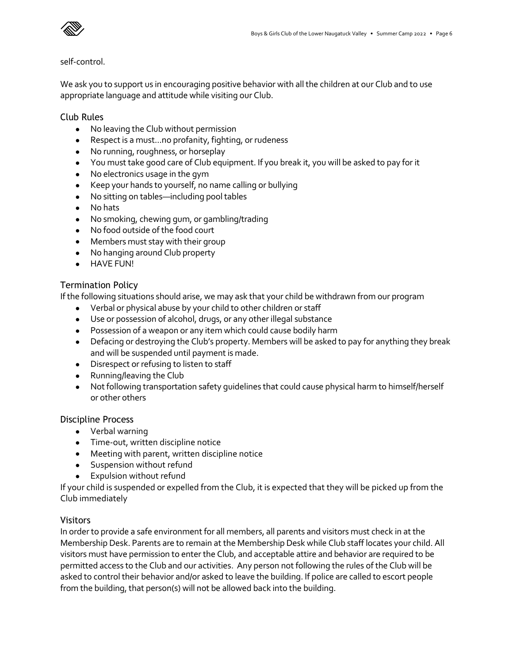

#### self-control.

We ask you to support us in encouraging positive behavior with all the children at our Club and to use appropriate language and attitude while visiting our Club.

#### Club Rules

- No leaving the Club without permission
- Respect is a must...no profanity, fighting, or rudeness
- No running, roughness, or horseplay
- You must take good care of Club equipment. If you break it, you will be asked to pay for it
- No electronics usage in the gym
- Keep your hands to yourself, no name calling or bullying
- No sitting on tables—including pool tables
- No hats
- No smoking, chewing gum, or gambling/trading
- No food outside of the food court
- Members must stay with their group
- No hanging around Club property
- **•** HAVE FUN!

### Termination Policy

If the following situations should arise, we may ask that your child be withdrawn from our program

- Verbal or physical abuse by your child to other children or staff
- Use or possession of alcohol, drugs, or any other illegal substance
- Possession of a weapon or any item which could cause bodily harm
- Defacing or destroying the Club's property. Members will be asked to pay for anything they break and will be suspended until payment is made.
- Disrespect or refusing to listen to staff
- Running/leaving the Club
- Not following transportation safety guidelines that could cause physical harm to himself/herself or other others

#### Discipline Process

- Verbal warning
- Time-out, written discipline notice
- Meeting with parent, written discipline notice
- Suspension without refund
- **•** Expulsion without refund

If your child is suspended or expelled from the Club, it is expected that they will be picked up from the Club immediately

#### Visitors

In order to provide a safe environment for all members, all parents and visitors must check in at the Membership Desk. Parents are to remain at the Membership Desk while Club staff locates your child. All visitors must have permission to enter the Club, and acceptable attire and behavior are required to be permitted access to the Club and our activities. Any person not following the rules of the Club will be asked to control their behavior and/or asked to leave the building. If police are called to escort people from the building, that person(s) will not be allowed back into the building.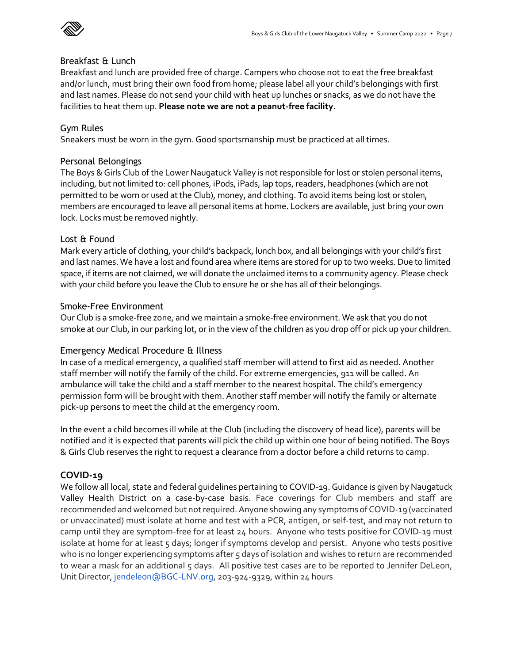

#### Breakfast & Lunch

Breakfast and lunch are provided free of charge. Campers who choose not to eat the free breakfast and/or lunch, must bring their own food from home; please label all your child's belongings with first and last names. Please do not send your child with heat up lunches or snacks, as we do not have the facilities to heat them up. **Please note we are not a peanut-free facility.**

# Gym Rules

Sneakers must be worn in the gym. Good sportsmanship must be practiced at all times.

#### Personal Belongings

The Boys & Girls Club of the Lower Naugatuck Valley is not responsible for lost or stolen personal items, including, but not limited to: cell phones, iPods, iPads, lap tops, readers, headphones (which are not permitted to be worn or used at the Club), money, and clothing. To avoid items being lost or stolen, members are encouraged to leave all personal items at home. Lockers are available, just bring your own lock. Locks must be removed nightly.

### Lost & Found

Mark every article of clothing, your child's backpack, lunch box, and all belongings with your child's first and last names. We have a lost and found area where items are stored for up to two weeks. Due to limited space, if items are not claimed, we will donate the unclaimed items to a community agency. Please check with your child before you leave the Club to ensure he or she has all of their belongings.

#### Smoke-Free Environment

Our Club is a smoke-free zone, and we maintain a smoke-free environment. We ask that you do not smoke at our Club, in our parking lot, or in the view of the children as you drop off or pick up your children.

#### Emergency Medical Procedure & Illness

In case of a medical emergency, a qualified staff member will attend to first aid as needed. Another staff member will notify the family of the child. For extreme emergencies, 911 will be called. An ambulance will take the child and a staff member to the nearest hospital. The child's emergency permission form will be brought with them. Another staff member will notify the family or alternate pick-up persons to meet the child at the emergency room.

In the event a child becomes ill while at the Club (including the discovery of head lice), parents will be notified and it is expected that parents will pick the child up within one hour of being notified. The Boys & Girls Club reserves the right to request a clearance from a doctor before a child returns to camp.

# **COVID-19**

We follow all local, state and federal guidelines pertaining to COVID-19. Guidance is given by Naugatuck Valley Health District on a case-by-case basis. Face coverings for Club members and staff are recommended and welcomed but not required. Anyone showing any symptoms of COVID-19 (vaccinated or unvaccinated) must isolate at home and test with a PCR, antigen, or self-test, and may not return to camp until they are symptom-free for at least 24 hours. Anyone who tests positive for COVID-19 must isolate at home for at least 5 days; longer if symptoms develop and persist. Anyone who tests positive who is no longer experiencing symptoms after 5 days of isolation and wishes to return are recommended to wear a mask for an additional 5 days. All positive test cases are to be reported to Jennifer DeLeon, Unit Director, [jendeleon@BGC-LNV.org,](mailto:jendeleon@bgc-lnv.org) 203-924-9329, within 24 hours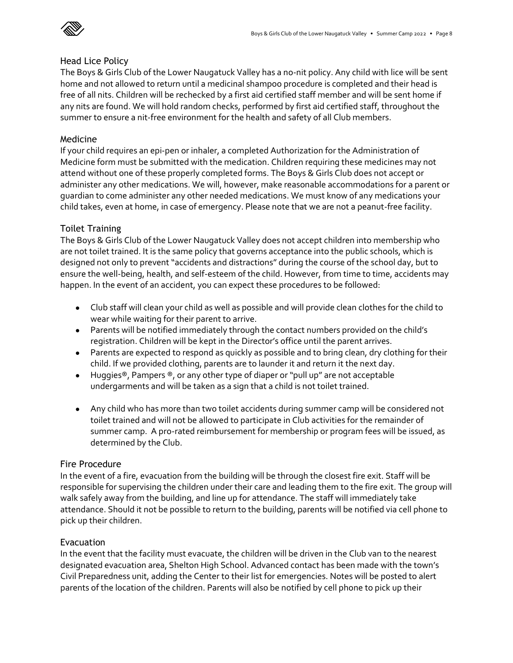

#### Head Lice Policy

The Boys & Girls Club of the Lower Naugatuck Valley has a no-nit policy. Any child with lice will be sent home and not allowed to return until a medicinal shampoo procedure is completed and their head is free of all nits. Children will be rechecked by a first aid certified staff member and will be sent home if any nits are found. We will hold random checks, performed by first aid certified staff, throughout the summer to ensure a nit-free environment for the health and safety of all Club members.

#### Medicine

If your child requires an epi-pen or inhaler, a completed Authorization for the Administration of Medicine form must be submitted with the medication. Children requiring these medicines may not attend without one of these properly completed forms. The Boys & Girls Club does not accept or administer any other medications. We will, however, make reasonable accommodations for a parent or guardian to come administer any other needed medications. We must know of any medications your child takes, even at home, in case of emergency. Please note that we are not a peanut-free facility.

#### Toilet Training

The Boys & Girls Club of the Lower Naugatuck Valley does not accept children into membership who are not toilet trained. It is the same policy that governs acceptance into the public schools, which is designed not only to prevent "accidents and distractions" during the course of the school day, but to ensure the well-being, health, and self-esteem of the child. However, from time to time, accidents may happen. In the event of an accident, you can expect these procedures to be followed:

- Club staff will clean your child as well as possible and will provide clean clothes for the child to wear while waiting for their parent to arrive.
- Parents will be notified immediately through the contact numbers provided on the child's registration. Children will be kept in the Director's office until the parent arrives.
- Parents are expected to respond as quickly as possible and to bring clean, dry clothing for their child. If we provided clothing, parents are to launder it and return it the next day.
- Huggies®, Pampers ®, or any other type of diaper or "pull up" are not acceptable undergarments and will be taken as a sign that a child is not toilet trained.
- Any child who has more than two toilet accidents during summer camp will be considered not toilet trained and will not be allowed to participate in Club activities for the remainder of summer camp. A pro-rated reimbursement for membership or program fees will be issued, as determined by the Club.

#### Fire Procedure

In the event of a fire, evacuation from the building will be through the closest fire exit. Staff will be responsible for supervising the children under their care and leading them to the fire exit. The group will walk safely away from the building, and line up for attendance. The staff will immediately take attendance. Should it not be possible to return to the building, parents will be notified via cell phone to pick up their children.

#### Evacuation

In the event that the facility must evacuate, the children will be driven in the Club van to the nearest designated evacuation area, Shelton High School. Advanced contact has been made with the town's Civil Preparedness unit, adding the Center to their list for emergencies. Notes will be posted to alert parents of the location of the children. Parents will also be notified by cell phone to pick up their